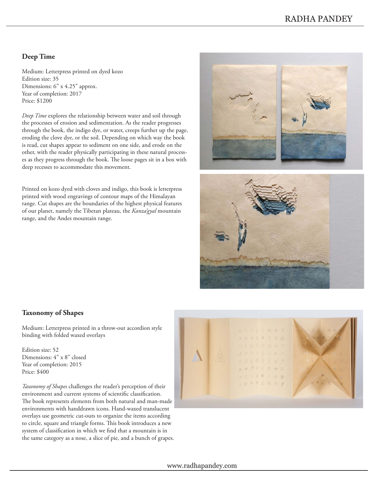## **Deep Time**

Medium: Letterpress printed on dyed kozo Edition size: 35 Dimensions: 6" x 4.25" approx. Year of completion: 2017 Price: \$1200

*Deep Time* explores the relationship between water and soil through the processes of erosion and sedimentation. As the reader progresses through the book, the indigo dye, or water, creeps further up the page, eroding the clove dye, or the soil. Depending on which way the book is read, cut shapes appear to sediment on one side, and erode on the other, with the reader physically participating in these natural processes as they progress through the book. The loose pages sit in a box with deep recesses to accommodate this movement.

Printed on kozo dyed with cloves and indigo, this book is letterpress printed with wood engravings of contour maps of the Himalayan range. Cut shapes are the boundaries of the highest physical features of our planet, namely the Tibetan plateau, the *Kanza'gyal* mountain range, and the Andes mountain range.





### **Taxonomy of Shapes**

Medium: Letterpress printed in a throw-out accordion style binding with folded waxed overlays

Edition size: 52 Dimensions: 4" x 8" closed Year of completion: 2015 Price: \$400

*Taxonomy of Shapes* challenges the reader's perception of their environment and current systems of scientific classification. The book represents elements from both natural and man-made environments with handdrawn icons. Hand-waxed translucent overlays use geometric cut-outs to organize the items according to circle, square and triangle forms. This book introduces a new system of classification in which we find that a mountain is in the same category as a nose, a slice of pie, and a bunch of grapes.

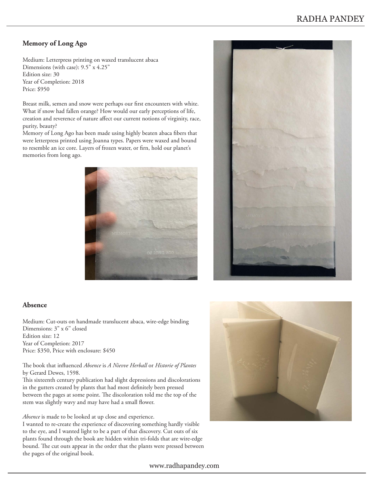## **Memory of Long Ago**

Medium: Letterpress printing on waxed translucent abaca Dimensions (with case): 9.5" x 4.25" Edition size: 30 Year of Completion: 2018 Price: \$950

Breast milk, semen and snow were perhaps our first encounters with white. What if snow had fallen orange? How would our early perceptions of life, creation and reverence of nature affect our current notions of virginity, race, purity, beauty?

Memory of Long Ago has been made using highly beaten abaca fibers that were letterpress printed using Joanna types. Papers were waxed and bound to resemble an ice core. Layers of frozen water, or firn, hold our planet's memories from long ago.





### **Absence**

Medium: Cut-outs on handmade translucent abaca, wire-edge binding Dimensions: 3" x 6'' closed Edition size: 12 Year of Completion: 2017 Price: \$350, Price with enclosure: \$450

#### The book that influenced *Absence* is *A Nievve Herball* or *Historie of Plantes*  by Gerard Dewes, 1598.

This sixteenth century publication had slight depressions and discolorations in the gutters created by plants that had most definitely been pressed between the pages at some point. The discoloration told me the top of the stem was slightly wavy and may have had a small flower.

*Absence* is made to be looked at up close and experience.

I wanted to re-create the experience of discovering something hardly visible to the eye, and I wanted light to be a part of that discovery. Cut outs of six plants found through the book are hidden within tri-folds that are wire-edge bound. The cut outs appear in the order that the plants were pressed between the pages of the original book.



#### www.radhapandey.com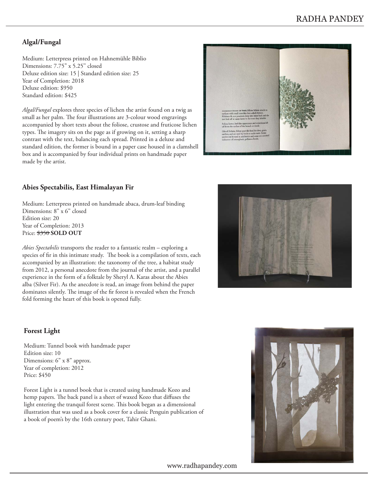# **Algal/Fungal**

Medium: Letterpress printed on Hahnemühle Biblio Dimensions: 7.75" x 5.25'' closed Deluxe edition size: 15 | Standard edition size: 25 Year of Completion: 2018 Deluxe edition: \$950 Standard edition: \$425

*Algal/Fungal* explores three species of lichen the artist found on a twig as small as her palm. The four illustrations are 3-colour wood engravings accompanied by short texts about the foliose, crustose and fruticose lichen types. The imagery sits on the page as if growing on it, setting a sharp contrast with the text, balancing each spread. Printed in a deluxe and standard edition, the former is bound in a paper case housed in a clamshell box and is accompanied by four individual prints on handmade paper made by the artist.



### **Abies Spectabilis, East Himalayan Fir**

Medium: Letterpress printed on handmade abaca, drum-leaf binding Dimensions: 8" x 6'' closed Edition size: 20 Year of Completion: 2013 Price: \$350 **SOLD OUT**

*Abies Spectabilis* transports the reader to a fantastic realm – exploring a species of fir in this intimate study. The book is a compilation of texts, each accompanied by an illustration: the taxonomy of the tree, a habitat study from 2012, a personal anecdote from the journal of the artist, and a parallel experience in the form of a folktale by Sheryl A. Karas about the Abies alba (Silver Fir). As the anecdote is read, an image from behind the paper dominates silently. The image of the fir forest is revealed when the French fold forming the heart of this book is opened fully.



### **Forest Light**

Medium: Tunnel book with handmade paper Edition size: 10 Dimensions: 6" x 8" approx. Year of completion: 2012 Price: \$450

Forest Light is a tunnel book that is created using handmade Kozo and hemp papers. The back panel is a sheet of waxed Kozo that diffuses the light entering the tranquil forest scene. This book began as a dimensional illustration that was used as a book cover for a classic Penguin publication of a book of poem's by the 16th century poet, Tahir Ghani.



www.radhapandey.com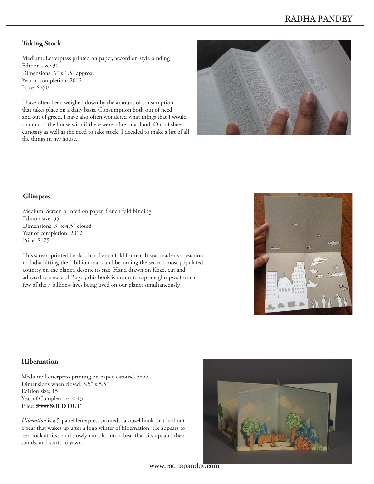## **Taking Stock**

Medium: Letterpress printed on paper, accordion style binding Edition size: 30 Dimensions: 6" x 1.5" approx. Year of completion: 2012 Price: \$250

I have often been weighed down by the amount of consumption that takes place on a daily basis. Consumption both out of need and out of greed. I have also often wondered what things that I would run out of the house with if there were a fire or a flood. Out of sheer curiosity as well as the need to take stock, I decided to make a list of all the things in my house.



### **Glimpses**

Medium: Screen printed on paper, french fold binding Edition size: 35 Dimensions: 3" x 4.5" closed Year of completion: 2012 Price: \$175

This screen-printed book is in a french fold format. It was made as a reaction to India hitting the 1 billion mark and becoming the second most populated country on the planet, despite its size. Hand drawn on Kozo, cut and adhered to sheets of Bugra, this book is meant to capture glimpses from a few of the 7 billion+ lives being lived on our planet simultaneously.



### **Hibernation**

Medium: Letterpress printing on paper, carousel book Dimensions when closed: 3.5" x 5.5" Edition size: 15 Year of Completion: 2013 Price:  $$300$  **SOLD OUT** 

*Hiberation* is a 5-panel letterpress printed, carousel book that is about a bear that wakes up after a long winter of hibernation. He appears to be a rock at first, and slowly morphs into a bear that sits up, and then stands, and starts to yawn.



www.radhapandey.com